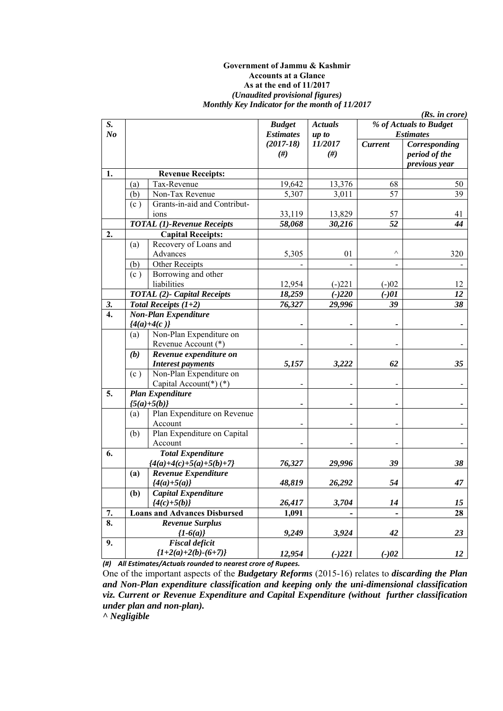#### **Government of Jammu & Kashmir Accounts at a Glance As at the end of 11/2017**  *(Unaudited provisional figures) Monthly Key Indicator for the month of 11/2017*

|                      |     |                                     |                                   |                         |                | (Rs. in <i>core</i> )                           |
|----------------------|-----|-------------------------------------|-----------------------------------|-------------------------|----------------|-------------------------------------------------|
| S.<br>N <sub>o</sub> |     |                                     | <b>Budget</b><br><b>Estimates</b> | <b>Actuals</b><br>up to |                | % of Actuals to Budget<br><b>Estimates</b>      |
|                      |     |                                     | $(2017 - 18)$<br>(# )             | 11/2017<br>#)           | <b>Current</b> | Corresponding<br>period of the<br>previous year |
| 1.                   |     | <b>Revenue Receipts:</b>            |                                   |                         |                |                                                 |
|                      | (a) | Tax-Revenue                         | 19,642                            | 13,376                  | 68             | 50                                              |
|                      | (b) | Non-Tax Revenue                     | 5,307                             | 3,011                   | 57             | 39                                              |
|                      | (c) | Grants-in-aid and Contribut-        |                                   |                         |                |                                                 |
|                      |     | ions                                | 33,119                            | 13,829                  | 57             | 41                                              |
|                      |     | <b>TOTAL</b> (1)-Revenue Receipts   | 58,068                            | 30,216                  | 52             | 44                                              |
| 2.                   |     | <b>Capital Receipts:</b>            |                                   |                         |                |                                                 |
|                      | (a) | Recovery of Loans and               |                                   |                         |                |                                                 |
|                      |     | Advances                            | 5,305                             | 01                      | $\wedge$       | 320                                             |
|                      | (b) | Other Receipts                      |                                   |                         |                |                                                 |
|                      | (c) | Borrowing and other                 |                                   |                         |                |                                                 |
|                      |     | liabilities                         | 12,954                            | $(-)221$                | $(-)02$        | 12                                              |
|                      |     | <b>TOTAL (2)- Capital Receipts</b>  | 18,259                            | $(-)220$                | $(-)01$        | 12                                              |
| 3.                   |     | Total Receipts $(1+2)$              | 76,327                            | 29,996                  | 39             | 38                                              |
| $\overline{4}$ .     |     | <b>Non-Plan Expenditure</b>         |                                   |                         |                |                                                 |
|                      |     | ${4(a)+4(c)}$                       |                                   |                         |                |                                                 |
|                      | (a) | Non-Plan Expenditure on             |                                   |                         |                |                                                 |
|                      |     | Revenue Account (*)                 |                                   |                         |                |                                                 |
|                      | (b) | Revenue expenditure on              |                                   |                         |                |                                                 |
|                      |     | <b>Interest payments</b>            | 5,157                             | 3,222                   | 62             | 35                                              |
|                      | (c) | Non-Plan Expenditure on             |                                   |                         |                |                                                 |
|                      |     | Capital Account(*)(*)               |                                   |                         |                |                                                 |
| 5.                   |     | <b>Plan Expenditure</b>             |                                   |                         |                |                                                 |
|                      |     | ${5(a)+5(b)}$                       |                                   |                         |                |                                                 |
|                      | (a) | Plan Expenditure on Revenue         |                                   |                         |                |                                                 |
|                      |     | Account                             |                                   |                         |                |                                                 |
|                      | (b) | Plan Expenditure on Capital         |                                   |                         |                |                                                 |
|                      |     | Account                             |                                   |                         |                |                                                 |
| 6.                   |     | <b>Total Expenditure</b>            |                                   |                         |                |                                                 |
|                      |     | ${4(a)+4(c)+5(a)+5(b)+7}$           | 76,327                            | 29,996                  | 39             | 38                                              |
|                      | (a) | Revenue Expenditure                 |                                   |                         |                |                                                 |
|                      |     | ${4(a)+5(a)}$                       | 48,819                            | 26,292                  | 54             | 47                                              |
|                      | (b) | <b>Capital Expenditure</b>          |                                   |                         |                |                                                 |
|                      |     | ${4(c)+5(b)}$                       | 26,417                            | 3,704                   | 14             | 15                                              |
| 7.                   |     | <b>Loans and Advances Disbursed</b> | 1,091                             |                         |                | 28                                              |
| 8.                   |     | <b>Revenue Surplus</b>              |                                   |                         |                |                                                 |
|                      |     | ${1-6(a)}$                          | 9,249                             | 3,924                   | 42             | 23                                              |
| 9.                   |     | <b>Fiscal deficit</b>               |                                   |                         |                |                                                 |
|                      |     | ${1+2(a)+2(b)-(6+7)}$               | 12,954                            | $(-)221$                | $(-)02$        | 12                                              |

*(#) All Estimates/Actuals rounded to nearest crore of Rupees.* 

One of the important aspects of the *Budgetary Reforms* (2015-16) relates to *discarding the Plan and Non-Plan expenditure classification and keeping only the uni-dimensional classification viz. Current or Revenue Expenditure and Capital Expenditure (without further classification under plan and non-plan).* 

*^ Negligible*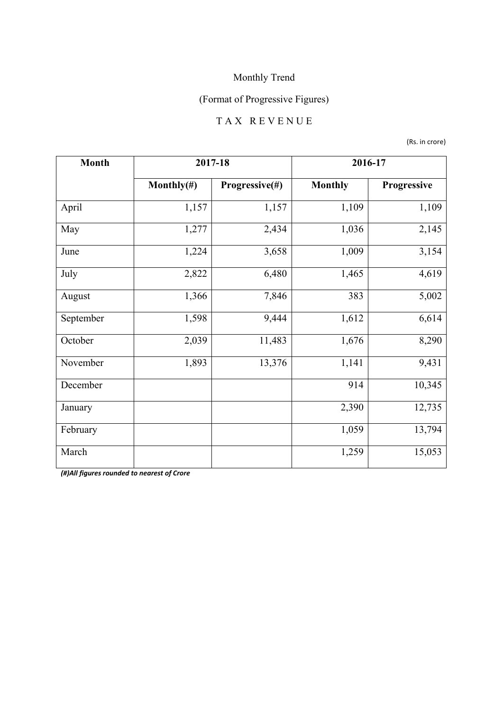## (Format of Progressive Figures)

## T A X R E V E N U E

(Rs. in crore)

| <b>Month</b> |                | 2017-18        |                | 2016-17     |
|--------------|----------------|----------------|----------------|-------------|
|              | Monthly $(\#)$ | Progressive(#) | <b>Monthly</b> | Progressive |
| April        | 1,157          | 1,157          | 1,109          | 1,109       |
| May          | 1,277          | 2,434          | 1,036          | 2,145       |
| June         | 1,224          | 3,658          | 1,009          | 3,154       |
| July         | 2,822          | 6,480          | 1,465          | 4,619       |
| August       | 1,366          | 7,846          | 383            | 5,002       |
| September    | 1,598          | 9,444          | 1,612          | 6,614       |
| October      | 2,039          | 11,483         | 1,676          | 8,290       |
| November     | 1,893          | 13,376         | 1,141          | 9,431       |
| December     |                |                | 914            | 10,345      |
| January      |                |                | 2,390          | 12,735      |
| February     |                |                | 1,059          | 13,794      |
| March        |                |                | 1,259          | 15,053      |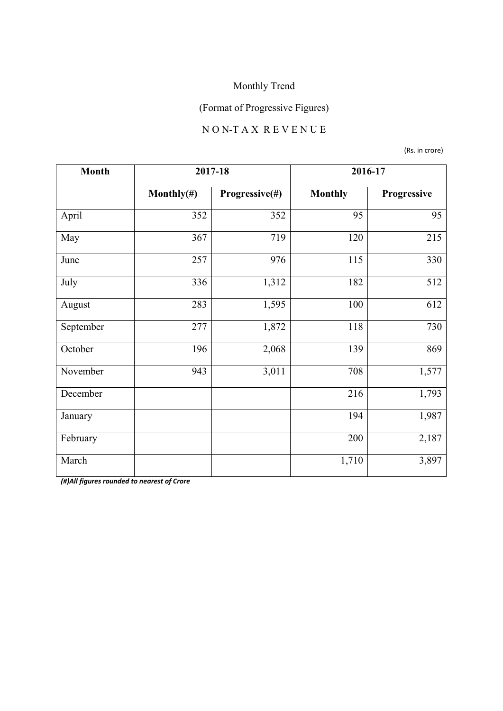# (Format of Progressive Figures)

### N O N-T A X R E V E N U E

(Rs. in crore)

| <b>Month</b> | 2017-18        |                | 2016-17        |             |
|--------------|----------------|----------------|----------------|-------------|
|              | Monthly $(\#)$ | Progressive(#) | <b>Monthly</b> | Progressive |
| April        | 352            | 352            | 95             | 95          |
| May          | 367            | 719            | 120            | 215         |
| June         | 257            | 976            | 115            | 330         |
| July         | 336            | 1,312          | 182            | 512         |
| August       | 283            | 1,595          | 100            | 612         |
| September    | 277            | 1,872          | 118            | 730         |
| October      | 196            | 2,068          | 139            | 869         |
| November     | 943            | 3,011          | 708            | 1,577       |
| December     |                |                | 216            | 1,793       |
| January      |                |                | 194            | 1,987       |
| February     |                |                | 200            | 2,187       |
| March        |                |                | 1,710          | 3,897       |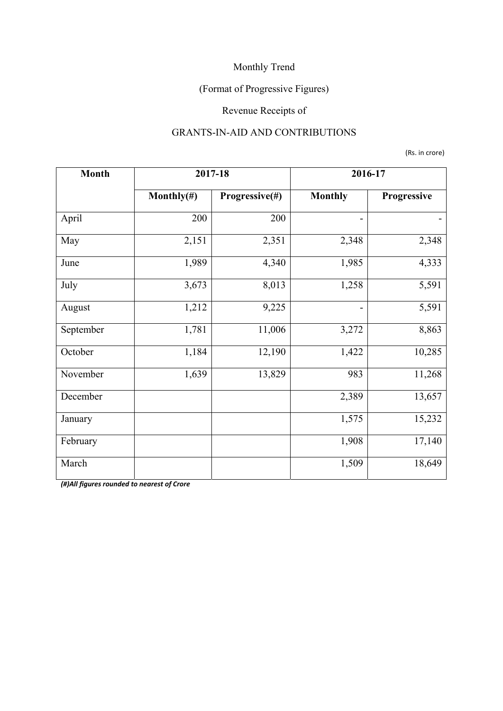## (Format of Progressive Figures)

## Revenue Receipts of

#### GRANTS-IN-AID AND CONTRIBUTIONS

(Rs. in crore)

| <b>Month</b>               | 2017-18        |                | 2016-17                  |             |
|----------------------------|----------------|----------------|--------------------------|-------------|
|                            | Monthly $(\#)$ | Progressive(#) | <b>Monthly</b>           | Progressive |
| April                      | 200            | 200            | -                        |             |
| May                        | 2,151          | 2,351          | 2,348                    | 2,348       |
| June                       | 1,989          | 4,340          | 1,985                    | 4,333       |
| July                       | 3,673          | 8,013          | 1,258                    | 5,591       |
| August                     | 1,212          | 9,225          | $\overline{\phantom{0}}$ | 5,591       |
| September                  | 1,781          | 11,006         | 3,272                    | 8,863       |
| October                    | 1,184          | 12,190         | 1,422                    | 10,285      |
| November                   | 1,639          | 13,829         | 983                      | 11,268      |
| December                   |                |                | 2,389                    | 13,657      |
| January                    |                |                | 1,575                    | 15,232      |
| February                   |                |                | 1,908                    | 17,140      |
| March<br>$\mu$ all $\mu$ . | $-0.0$         |                | 1,509                    | 18,649      |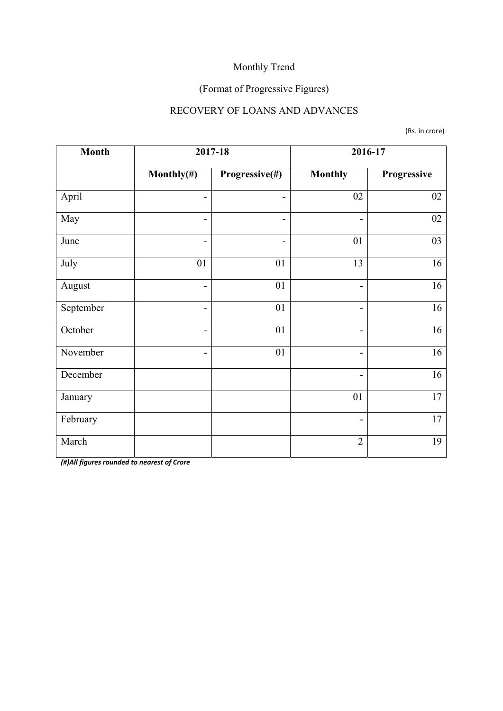## (Format of Progressive Figures)

### RECOVERY OF LOANS AND ADVANCES

(Rs. in crore)

| <b>Month</b> | 2017-18                  |                          |                              | 2016-17     |
|--------------|--------------------------|--------------------------|------------------------------|-------------|
|              | Monthly $(\#)$           | Progressive(#)           | <b>Monthly</b>               | Progressive |
| April        | -                        | -                        | 02                           | 02          |
| May          | $\overline{a}$           | -                        | $\blacksquare$               | $02\,$      |
| June         | $\overline{\phantom{0}}$ | $\overline{\phantom{0}}$ | 01                           | 03          |
| July         | 01                       | 01                       | 13                           | 16          |
| August       | -                        | 01                       | $\overline{\phantom{a}}$     | 16          |
| September    | $\overline{\phantom{0}}$ | 01                       | $\overline{\phantom{m}}$     | 16          |
| October      | $\overline{\phantom{0}}$ | 01                       | $\overline{\phantom{a}}$     | 16          |
| November     | $\overline{a}$           | 01                       | $\qquad \qquad \blacksquare$ | 16          |
| December     |                          |                          | $\qquad \qquad \blacksquare$ | 16          |
| January      |                          |                          | 01                           | 17          |
| February     |                          |                          | $\qquad \qquad \blacksquare$ | 17          |
| March        |                          |                          | $\overline{2}$               | 19          |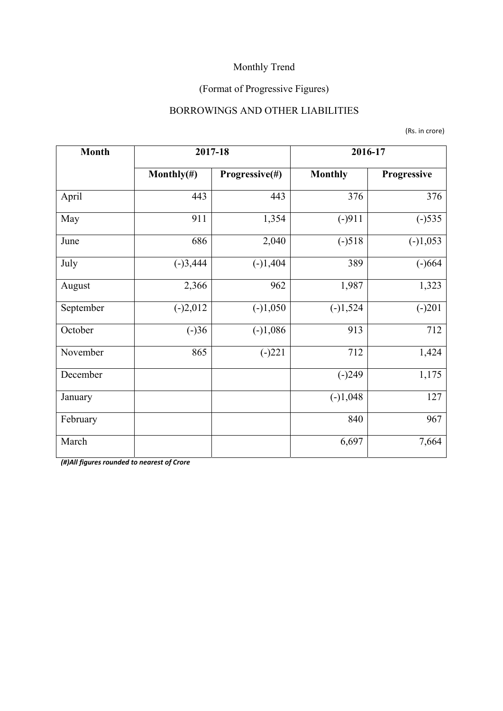## (Format of Progressive Figures)

### BORROWINGS AND OTHER LIABILITIES

(Rs. in crore)

| <b>Month</b> | 2017-18        |                | 2016-17        |             |
|--------------|----------------|----------------|----------------|-------------|
|              | Monthly $(\#)$ | Progressive(#) | <b>Monthly</b> | Progressive |
| April        | 443            | 443            | 376            | 376         |
| May          | 911            | 1,354          | $(-)911$       | $(-)535$    |
| June         | 686            | 2,040          | $(-)518$       | $(-)1,053$  |
| July         | $(-)3,444$     | $(-)1,404$     | 389            | $(-)664$    |
| August       | 2,366          | 962            | 1,987          | 1,323       |
| September    | $(-)2,012$     | $(-)1,050$     | $(-)1,524$     | $(-)201$    |
| October      | $(-)36$        | $(-)1,086$     | 913            | 712         |
| November     | 865            | $(-)221$       | 712            | 1,424       |
| December     |                |                | $(-)249$       | 1,175       |
| January      |                |                | $(-)1,048$     | 127         |
| February     |                |                | 840            | 967         |
| March        |                |                | 6,697          | 7,664       |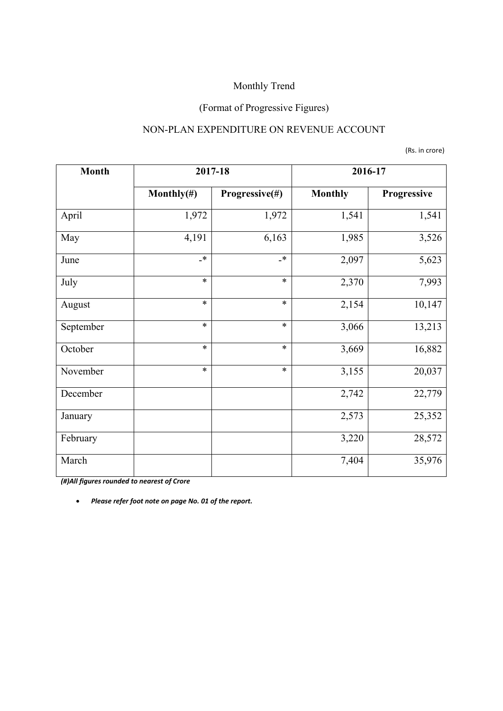#### (Format of Progressive Figures)

#### NON-PLAN EXPENDITURE ON REVENUE ACCOUNT

(Rs. in crore)

| <b>Month</b> | 2017-18        |                | 2016-17        |             |
|--------------|----------------|----------------|----------------|-------------|
|              | Monthly $(\#)$ | Progressive(#) | <b>Monthly</b> | Progressive |
| April        | 1,972          | 1,972          | 1,541          | 1,541       |
| May          | 4,191          | 6,163          | 1,985          | 3,526       |
| June         | $_{*}$         | $\cdot$        | 2,097          | 5,623       |
| July         | $\ast$         | $\ast$         | 2,370          | 7,993       |
| August       | $\ast$         | $\ast$         | 2,154          | 10,147      |
| September    | $\ast$         | $\ast$         | 3,066          | 13,213      |
| October      | $\ast$         | $\ast$         | 3,669          | 16,882      |
| November     | $\ast$         | $\ast$         | 3,155          | 20,037      |
| December     |                |                | 2,742          | 22,779      |
| January      |                |                | 2,573          | 25,352      |
| February     |                |                | 3,220          | 28,572      |
| March        |                |                | 7,404          | 35,976      |

*(#)All figures rounded to nearest of Crore*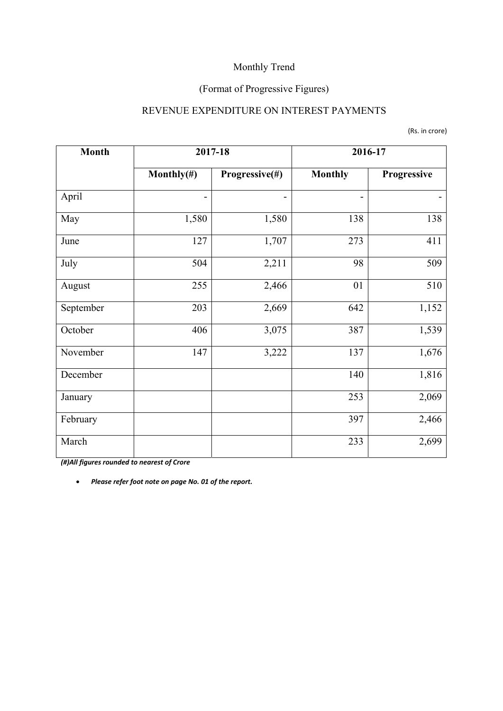## (Format of Progressive Figures)

#### REVENUE EXPENDITURE ON INTEREST PAYMENTS

| (Rs. in crore) |
|----------------|
|----------------|

| <b>Month</b> |                | 2017-18        |                          | 2016-17     |
|--------------|----------------|----------------|--------------------------|-------------|
|              | Monthly $(\#)$ | Progressive(#) | <b>Monthly</b>           | Progressive |
| April        |                |                | $\overline{\phantom{0}}$ |             |
| May          | 1,580          | 1,580          | 138                      | 138         |
| June         | 127            | 1,707          | 273                      | 411         |
| July         | 504            | 2,211          | 98                       | 509         |
| August       | 255            | 2,466          | 01                       | 510         |
| September    | 203            | 2,669          | 642                      | 1,152       |
| October      | 406            | 3,075          | 387                      | 1,539       |
| November     | 147            | 3,222          | 137                      | 1,676       |
| December     |                |                | 140                      | 1,816       |
| January      |                |                | 253                      | 2,069       |
| February     |                |                | 397                      | 2,466       |
| March        |                |                | 233                      | 2,699       |

*(#)All figures rounded to nearest of Crore*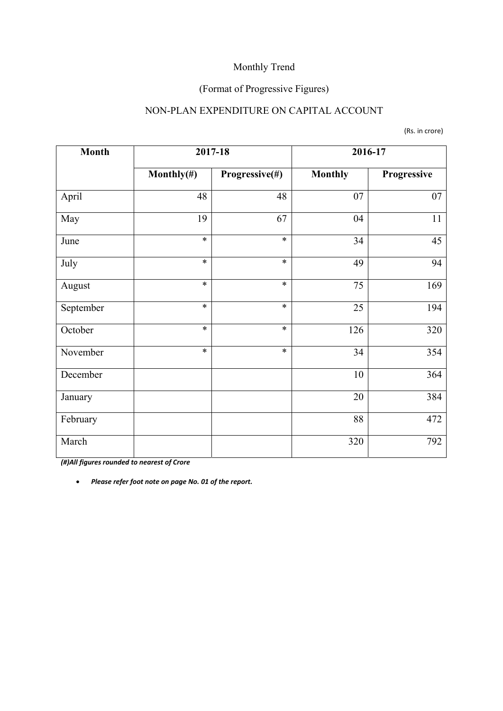#### (Format of Progressive Figures)

#### NON-PLAN EXPENDITURE ON CAPITAL ACCOUNT

|  | (Rs. in crore) |
|--|----------------|
|--|----------------|

| <b>Month</b> | 2017-18        |                | 2016-17        |             |
|--------------|----------------|----------------|----------------|-------------|
|              | Monthly $(\#)$ | Progressive(#) | <b>Monthly</b> | Progressive |
| April        | 48             | 48             | 07             | 07          |
| May          | 19             | 67             | 04             | 11          |
| June         | $\ast$         | $\ast$         | 34             | 45          |
| July         | $\ast$         | $\ast$         | 49             | 94          |
| August       | $\ast$         | $\ast$         | 75             | 169         |
| September    | $\ast$         | $\ast$         | 25             | 194         |
| October      | $\ast$         | $\ast$         | 126            | 320         |
| November     | $\ast$         | $\ast$         | 34             | 354         |
| December     |                |                | 10             | 364         |
| January      |                |                | 20             | 384         |
| February     |                |                | 88             | 472         |
| March        |                |                | 320            | 792         |

*(#)All figures rounded to nearest of Crore*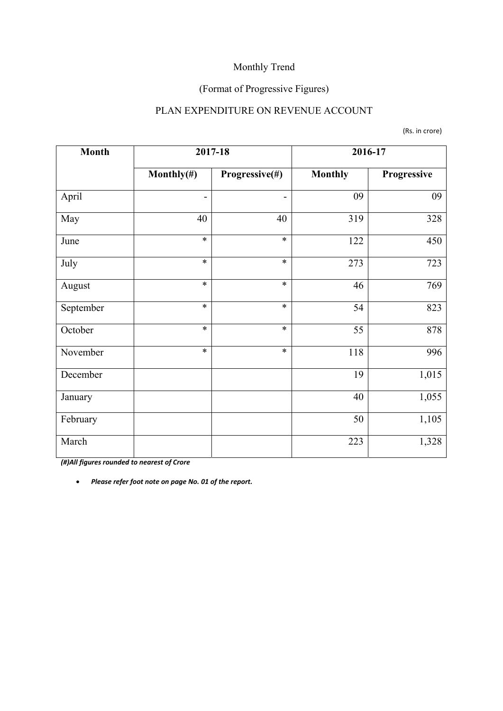#### (Format of Progressive Figures)

### PLAN EXPENDITURE ON REVENUE ACCOUNT

(Rs. in crore)

| <b>Month</b> | 2017-18                  |                | 2016-17        |             |
|--------------|--------------------------|----------------|----------------|-------------|
|              | Monthly $(\#)$           | Progressive(#) | <b>Monthly</b> | Progressive |
| April        | $\overline{\phantom{a}}$ | -              | 09             | 09          |
| May          | 40                       | 40             | 319            | 328         |
| June         | $\ast$                   | $\ast$         | 122            | 450         |
| July         | $\ast$                   | $\ast$         | 273            | 723         |
| August       | $\ast$                   | $\ast$         | 46             | 769         |
| September    | $\ast$                   | $\ast$         | 54             | 823         |
| October      | $\ast$                   | $\ast$         | 55             | 878         |
| November     | $\ast$                   | $\ast$         | 118            | 996         |
| December     |                          |                | 19             | 1,015       |
| January      |                          |                | 40             | 1,055       |
| February     |                          |                | 50             | 1,105       |
| March        |                          |                | 223            | 1,328       |

*(#)All figures rounded to nearest of Crore*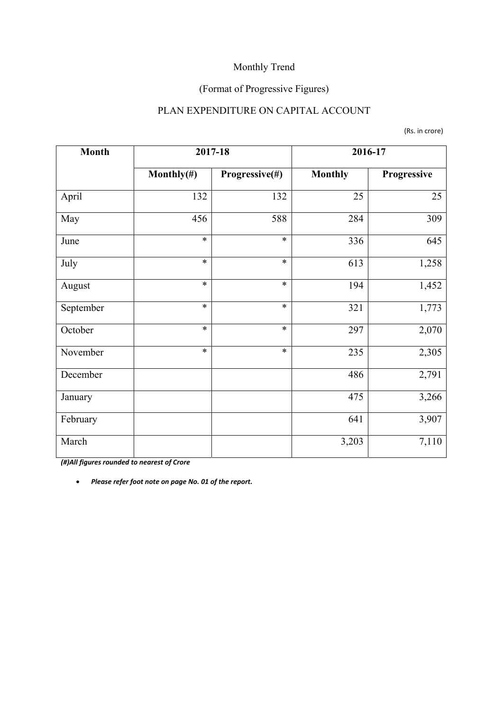#### (Format of Progressive Figures)

### PLAN EXPENDITURE ON CAPITAL ACCOUNT

(Rs. in crore)

| <b>Month</b> |                | 2017-18        | 2016-17        |             |  |
|--------------|----------------|----------------|----------------|-------------|--|
|              | Monthly $(\#)$ | Progressive(#) | <b>Monthly</b> | Progressive |  |
| April        | 132            | 132            | 25             | 25          |  |
| May          | 456            | 588            | 284            | 309         |  |
| June         | $\ast$         | $\ast$         | 336            | 645         |  |
| July         | $\ast$         | $\ast$         | 613            | 1,258       |  |
| August       | $\ast$         | $\ast$         | 194            | 1,452       |  |
| September    | $\ast$         | $\ast$         | 321            | 1,773       |  |
| October      | $\ast$         | $\ast$         | 297            | 2,070       |  |
| November     | $\ast$         | $\ast$         | 235            | 2,305       |  |
| December     |                |                | 486            | 2,791       |  |
| January      |                |                | 475            | 3,266       |  |
| February     |                |                | 641            | 3,907       |  |
| March        |                |                | 3,203          | 7,110       |  |

*(#)All figures rounded to nearest of Crore*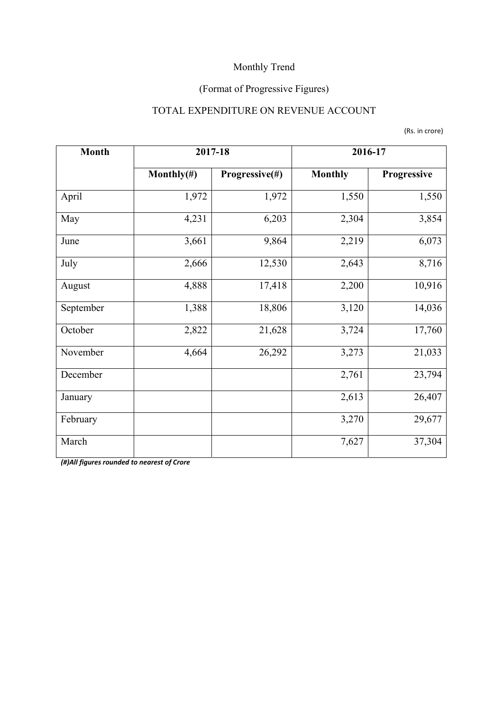## (Format of Progressive Figures)

### TOTAL EXPENDITURE ON REVENUE ACCOUNT

|  | (Rs. in crore) |
|--|----------------|
|--|----------------|

| <b>Month</b> | 2017-18        |                | 2016-17        |             |  |
|--------------|----------------|----------------|----------------|-------------|--|
|              | Monthly $(\#)$ | Progressive(#) | <b>Monthly</b> | Progressive |  |
| April        | 1,972          | 1,972          | 1,550          | 1,550       |  |
| May          | 4,231          | 6,203          | 2,304          | 3,854       |  |
| June         | 3,661          | 9,864          | 2,219          | 6,073       |  |
| July         | 2,666          | 12,530         | 2,643          | 8,716       |  |
| August       | 4,888          | 17,418         | 2,200          | 10,916      |  |
| September    | 1,388          | 18,806         | 3,120          | 14,036      |  |
| October      | 2,822          | 21,628         | 3,724          | 17,760      |  |
| November     | 4,664          | 26,292         | 3,273          | 21,033      |  |
| December     |                |                | 2,761          | 23,794      |  |
| January      |                |                | 2,613          | 26,407      |  |
| February     |                |                | 3,270          | 29,677      |  |
| March        |                |                | 7,627          | 37,304      |  |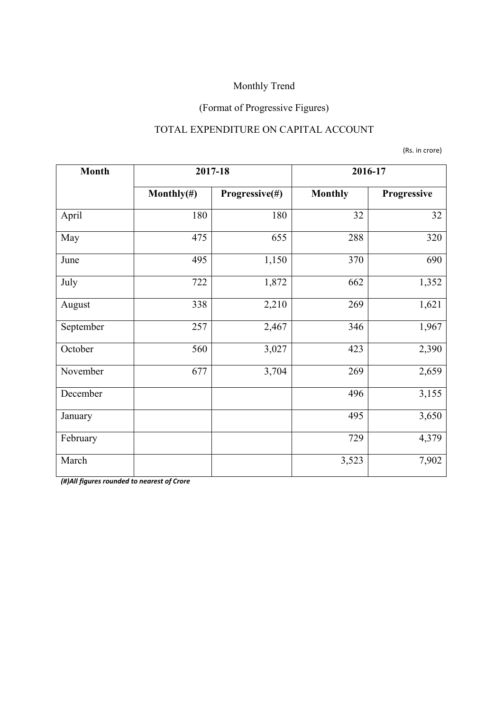## (Format of Progressive Figures)

#### TOTAL EXPENDITURE ON CAPITAL ACCOUNT

(Rs. in crore)

| <b>Month</b> | 2017-18        |                |                | 2016-17     |  |
|--------------|----------------|----------------|----------------|-------------|--|
|              | Monthly $(\#)$ | Progressive(#) | <b>Monthly</b> | Progressive |  |
| April        | 180            | 180            | 32             | 32          |  |
| May          | 475            | 655            | 288            | 320         |  |
| June         | 495            | 1,150          | 370            | 690         |  |
| July         | 722            | 1,872          | 662            | 1,352       |  |
| August       | 338            | 2,210          | 269            | 1,621       |  |
| September    | 257            | 2,467          | 346            | 1,967       |  |
| October      | 560            | 3,027          | 423            | 2,390       |  |
| November     | 677            | 3,704          | 269            | 2,659       |  |
| December     |                |                | 496            | 3,155       |  |
| January      |                |                | 495            | 3,650       |  |
| February     |                |                | 729            | 4,379       |  |
| March        |                |                | 3,523          | 7,902       |  |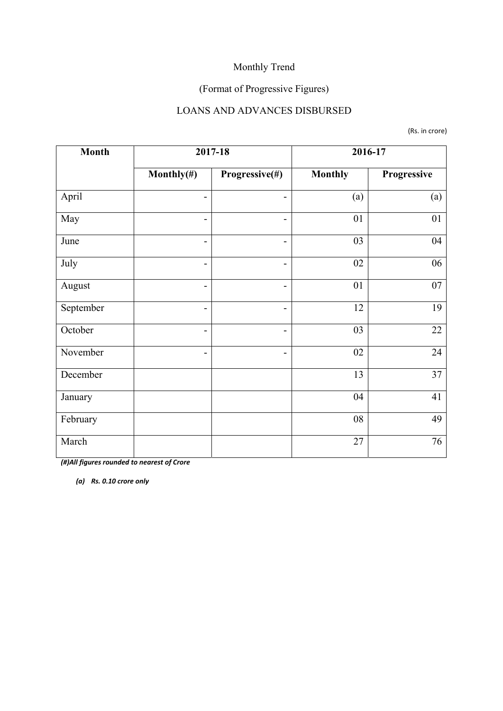## (Format of Progressive Figures)

#### LOANS AND ADVANCES DISBURSED

(Rs. in crore)

| <b>Month</b> | 2017-18                      |                | 2016-17        |             |  |
|--------------|------------------------------|----------------|----------------|-------------|--|
|              | Monthly $(\#)$               | Progressive(#) | <b>Monthly</b> | Progressive |  |
| April        | $\qquad \qquad \blacksquare$ |                | (a)            | (a)         |  |
| May          | $\overline{\phantom{0}}$     | $\blacksquare$ | 01             | 01          |  |
| June         | $\qquad \qquad \blacksquare$ | -              | 03             | 04          |  |
| July         | $\overline{a}$               | -              | 02             | 06          |  |
| August       | -                            | -              | 01             | 07          |  |
| September    | $\qquad \qquad \blacksquare$ | -              | 12             | 19          |  |
| October      | $\overline{\phantom{a}}$     | -              | 03             | 22          |  |
| November     | -                            | -              | 02             | 24          |  |
| December     |                              |                | 13             | 37          |  |
| January      |                              |                | 04             | 41          |  |
| February     |                              |                | 08             | 49          |  |
| March        |                              |                | 27             | 76          |  |

*(#)All figures rounded to nearest of Crore* 

*(a) Rs. 0.10 crore only*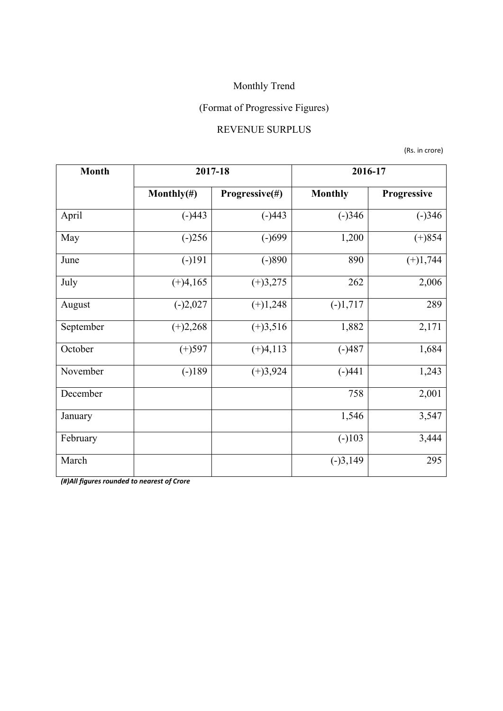# (Format of Progressive Figures)

#### REVENUE SURPLUS

(Rs. in crore)

| <b>Month</b> | 2017-18        |                | 2016-17        |             |  |
|--------------|----------------|----------------|----------------|-------------|--|
|              | Monthly $(\#)$ | Progressive(#) | <b>Monthly</b> | Progressive |  |
| April        | $(-)443$       | $(-)443$       | $(-)346$       | $(-)346$    |  |
| May          | $(-)256$       | $(-)699$       | 1,200          | $(+)854$    |  |
| June         | $(-)191$       | $(-)890$       | 890            | $(+)1,744$  |  |
| July         | $(+)4,165$     | $(+)3,275$     | 262            | 2,006       |  |
| August       | $(-)2,027$     | $(+)1,248$     | $(-)1,717$     | 289         |  |
| September    | $(+)2,268$     | $(+)3,516$     | 1,882          | 2,171       |  |
| October      | $(+)597$       | $(+)4,113$     | $(-)487$       | 1,684       |  |
| November     | $(-)189$       | $(+)3,924$     | $(-)441$       | 1,243       |  |
| December     |                |                | 758            | 2,001       |  |
| January      |                |                | 1,546          | 3,547       |  |
| February     |                |                | $(-)103$       | 3,444       |  |
| March        |                |                | $(-)3,149$     | 295         |  |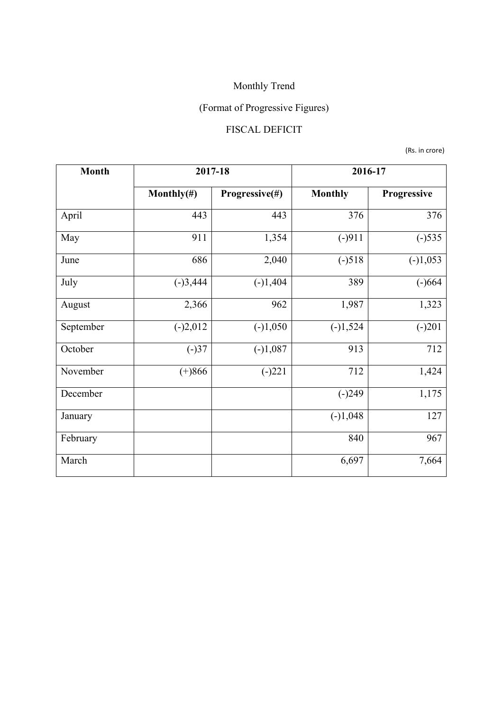# (Format of Progressive Figures)

### FISCAL DEFICIT

(Rs. in crore)

| <b>Month</b> | 2017-18        |                | 2016-17        |             |  |
|--------------|----------------|----------------|----------------|-------------|--|
|              | Monthly $(\#)$ | Progressive(#) | <b>Monthly</b> | Progressive |  |
| April        | 443            | 443            | 376            | 376         |  |
| May          | 911            | 1,354          | $(-)911$       | $(-)535$    |  |
| June         | 686            | 2,040          | $(-)518$       | $(-)1,053$  |  |
| July         | $(-)3,444$     | $(-)1,404$     | 389            | $(-)664$    |  |
| August       | 2,366          | 962            | 1,987          | 1,323       |  |
| September    | $(-)2,012$     | $(-)1,050$     | $(-)1,524$     | $(-)201$    |  |
| October      | $(-)37$        | $(-)1,087$     | 913            | 712         |  |
| November     | $(+)866$       | $(-)221$       | 712            | 1,424       |  |
| December     |                |                | $(-)249$       | 1,175       |  |
| January      |                |                | $(-)1,048$     | 127         |  |
| February     |                |                | 840            | 967         |  |
| March        |                |                | 6,697          | 7,664       |  |